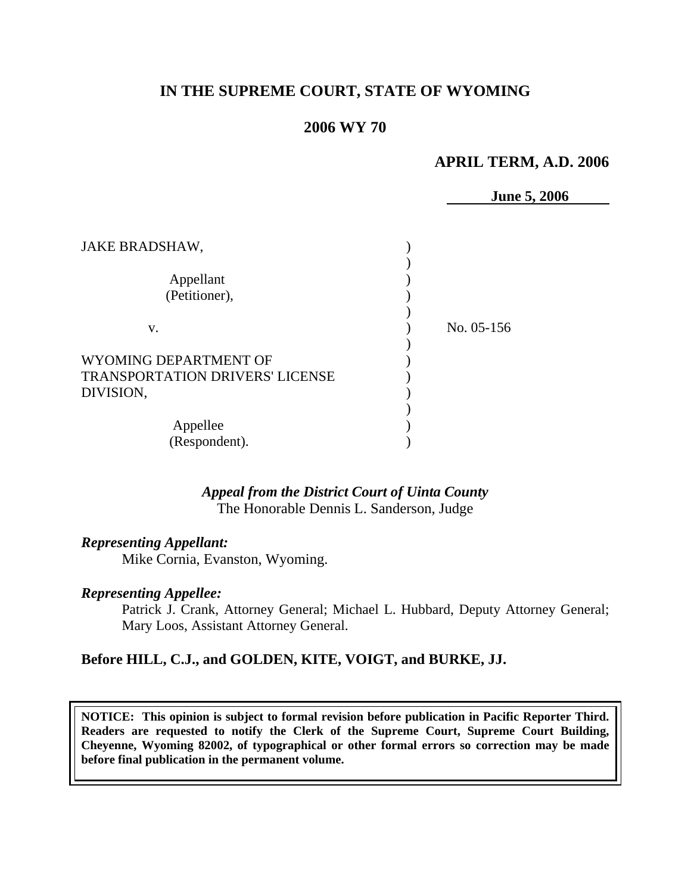# **IN THE SUPREME COURT, STATE OF WYOMING**

## **2006 WY 70**

## **APRIL TERM, A.D. 2006**

**June 5, 2006** 

| JAKE BRADSHAW,                                                               |              |
|------------------------------------------------------------------------------|--------------|
| Appellant<br>(Petitioner),                                                   |              |
| V.                                                                           | No. $05-156$ |
| WYOMING DEPARTMENT OF<br><b>TRANSPORTATION DRIVERS' LICENSE</b><br>DIVISION, |              |
| Appellee<br>(Respondent).                                                    |              |

### *Appeal from the District Court of Uinta County* The Honorable Dennis L. Sanderson, Judge

### *Representing Appellant:*

Mike Cornia, Evanston, Wyoming.

#### *Representing Appellee:*

Patrick J. Crank, Attorney General; Michael L. Hubbard, Deputy Attorney General; Mary Loos, Assistant Attorney General.

## **Before HILL, C.J., and GOLDEN, KITE, VOIGT, and BURKE, JJ.**

**NOTICE: This opinion is subject to formal revision before publication in Pacific Reporter Third. Readers are requested to notify the Clerk of the Supreme Court, Supreme Court Building, Cheyenne, Wyoming 82002, of typographical or other formal errors so correction may be made before final publication in the permanent volume.**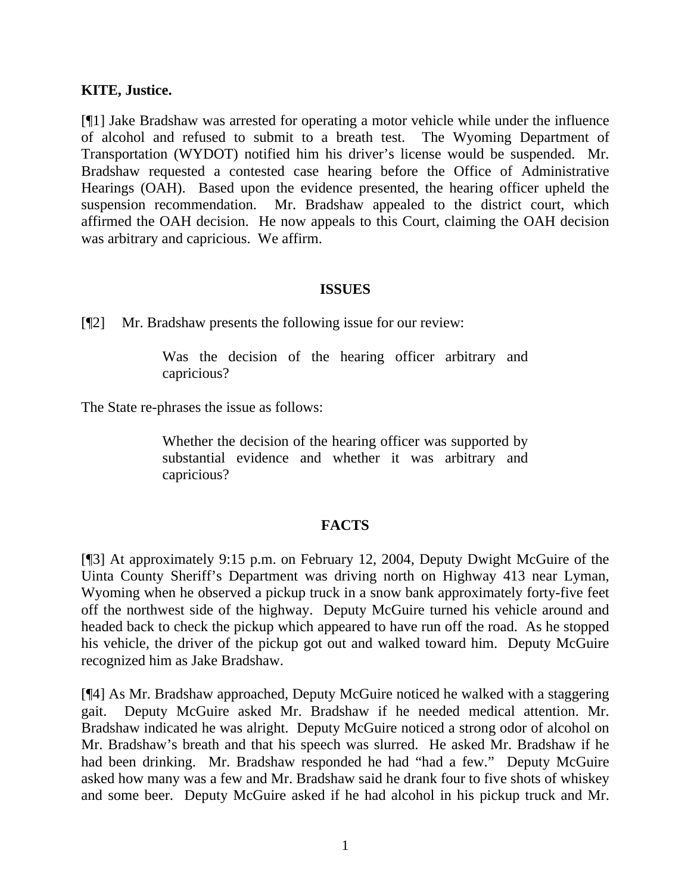### **KITE, Justice.**

[¶1] Jake Bradshaw was arrested for operating a motor vehicle while under the influence of alcohol and refused to submit to a breath test. The Wyoming Department of Transportation (WYDOT) notified him his driver's license would be suspended. Mr. Bradshaw requested a contested case hearing before the Office of Administrative Hearings (OAH). Based upon the evidence presented, the hearing officer upheld the suspension recommendation. Mr. Bradshaw appealed to the district court, which affirmed the OAH decision. He now appeals to this Court, claiming the OAH decision was arbitrary and capricious. We affirm.

#### **ISSUES**

[¶2] Mr. Bradshaw presents the following issue for our review:

Was the decision of the hearing officer arbitrary and capricious?

The State re-phrases the issue as follows:

Whether the decision of the hearing officer was supported by substantial evidence and whether it was arbitrary and capricious?

## **FACTS**

[¶3] At approximately 9:15 p.m. on February 12, 2004, Deputy Dwight McGuire of the Uinta County Sheriff's Department was driving north on Highway 413 near Lyman, Wyoming when he observed a pickup truck in a snow bank approximately forty-five feet off the northwest side of the highway. Deputy McGuire turned his vehicle around and headed back to check the pickup which appeared to have run off the road. As he stopped his vehicle, the driver of the pickup got out and walked toward him. Deputy McGuire recognized him as Jake Bradshaw.

[¶4] As Mr. Bradshaw approached, Deputy McGuire noticed he walked with a staggering gait. Deputy McGuire asked Mr. Bradshaw if he needed medical attention. Mr. Bradshaw indicated he was alright. Deputy McGuire noticed a strong odor of alcohol on Mr. Bradshaw's breath and that his speech was slurred. He asked Mr. Bradshaw if he had been drinking. Mr. Bradshaw responded he had "had a few." Deputy McGuire asked how many was a few and Mr. Bradshaw said he drank four to five shots of whiskey and some beer. Deputy McGuire asked if he had alcohol in his pickup truck and Mr.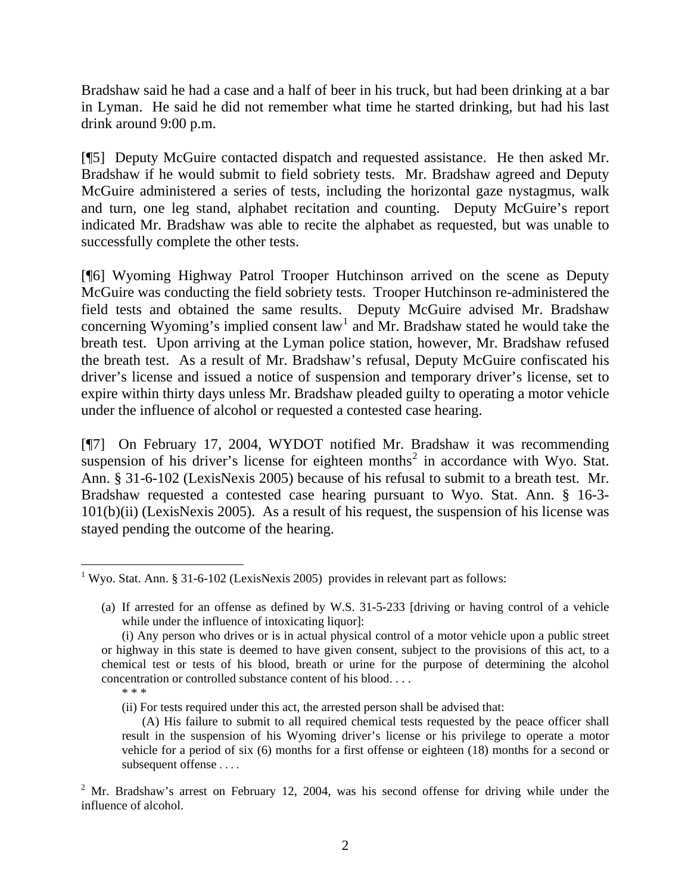Bradshaw said he had a case and a half of beer in his truck, but had been drinking at a bar in Lyman. He said he did not remember what time he started drinking, but had his last drink around 9:00 p.m.

[¶5] Deputy McGuire contacted dispatch and requested assistance. He then asked Mr. Bradshaw if he would submit to field sobriety tests. Mr. Bradshaw agreed and Deputy McGuire administered a series of tests, including the horizontal gaze nystagmus, walk and turn, one leg stand, alphabet recitation and counting. Deputy McGuire's report indicated Mr. Bradshaw was able to recite the alphabet as requested, but was unable to successfully complete the other tests.

[¶6] Wyoming Highway Patrol Trooper Hutchinson arrived on the scene as Deputy McGuire was conducting the field sobriety tests. Trooper Hutchinson re-administered the field tests and obtained the same results. Deputy McGuire advised Mr. Bradshaw concerning Wyoming's implied consent law<sup>[1](#page-3-0)</sup> and Mr. Bradshaw stated he would take the breath test. Upon arriving at the Lyman police station, however, Mr. Bradshaw refused the breath test. As a result of Mr. Bradshaw's refusal, Deputy McGuire confiscated his driver's license and issued a notice of suspension and temporary driver's license, set to expire within thirty days unless Mr. Bradshaw pleaded guilty to operating a motor vehicle under the influence of alcohol or requested a contested case hearing.

[¶7] On February 17, 2004, WYDOT notified Mr. Bradshaw it was recommending suspension of his driver's license for eighteen months<sup>[2](#page-3-1)</sup> in accordance with Wyo. Stat. Ann. § 31-6-102 (LexisNexis 2005) because of his refusal to submit to a breath test. Mr. Bradshaw requested a contested case hearing pursuant to Wyo. Stat. Ann. § 16-3- 101(b)(ii) (LexisNexis 2005). As a result of his request, the suspension of his license was stayed pending the outcome of the hearing.

<span id="page-3-0"></span> <sup>1</sup> Wyo. Stat. Ann. § 31-6-102 (LexisNexis 2005) provides in relevant part as follows:

<sup>(</sup>a) If arrested for an offense as defined by W.S. 31-5-233 [driving or having control of a vehicle while under the influence of intoxicating liquor]:

<sup>(</sup>i) Any person who drives or is in actual physical control of a motor vehicle upon a public street or highway in this state is deemed to have given consent, subject to the provisions of this act, to a chemical test or tests of his blood, breath or urine for the purpose of determining the alcohol concentration or controlled substance content of his blood. . . . \* \* \*

<sup>(</sup>ii) For tests required under this act, the arrested person shall be advised that:

<sup>(</sup>A) His failure to submit to all required chemical tests requested by the peace officer shall result in the suspension of his Wyoming driver's license or his privilege to operate a motor vehicle for a period of six (6) months for a first offense or eighteen (18) months for a second or subsequent offense . . . .

<span id="page-3-1"></span> $2^2$  Mr. Bradshaw's arrest on February 12, 2004, was his second offense for driving while under the influence of alcohol.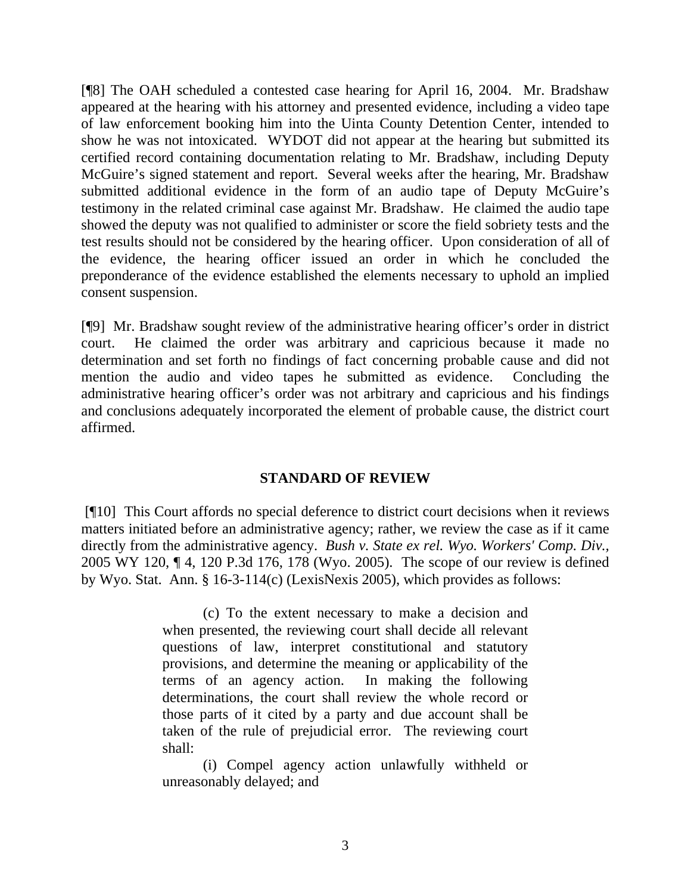[¶8] The OAH scheduled a contested case hearing for April 16, 2004. Mr. Bradshaw appeared at the hearing with his attorney and presented evidence, including a video tape of law enforcement booking him into the Uinta County Detention Center, intended to show he was not intoxicated. WYDOT did not appear at the hearing but submitted its certified record containing documentation relating to Mr. Bradshaw, including Deputy McGuire's signed statement and report. Several weeks after the hearing, Mr. Bradshaw submitted additional evidence in the form of an audio tape of Deputy McGuire's testimony in the related criminal case against Mr. Bradshaw. He claimed the audio tape showed the deputy was not qualified to administer or score the field sobriety tests and the test results should not be considered by the hearing officer. Upon consideration of all of the evidence, the hearing officer issued an order in which he concluded the preponderance of the evidence established the elements necessary to uphold an implied consent suspension.

[¶9] Mr. Bradshaw sought review of the administrative hearing officer's order in district court. He claimed the order was arbitrary and capricious because it made no determination and set forth no findings of fact concerning probable cause and did not mention the audio and video tapes he submitted as evidence. Concluding the administrative hearing officer's order was not arbitrary and capricious and his findings and conclusions adequately incorporated the element of probable cause, the district court affirmed.

# **STANDARD OF REVIEW**

 [¶10] This Court affords no special deference to district court decisions when it reviews matters initiated before an administrative agency; rather, we review the case as if it came directly from the administrative agency. *Bush v. State ex rel. Wyo. Workers' Comp. Div.,*  2005 WY 120, ¶ 4, 120 P.3d 176, 178 (Wyo. 2005). The scope of our review is defined by Wyo. Stat. Ann. § 16-3-114(c) (LexisNexis 2005), which provides as follows:

> (c) To the extent necessary to make a decision and when presented, the reviewing court shall decide all relevant questions of law, interpret constitutional and statutory provisions, and determine the meaning or applicability of the terms of an agency action. In making the following determinations, the court shall review the whole record or those parts of it cited by a party and due account shall be taken of the rule of prejudicial error. The reviewing court shall:

> (i) Compel agency action unlawfully withheld or unreasonably delayed; and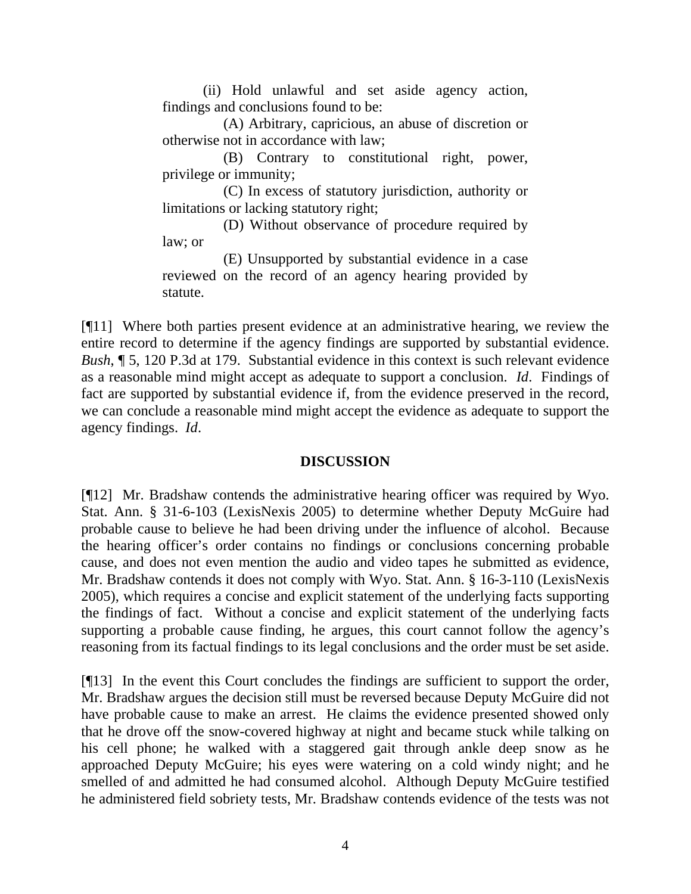(ii) Hold unlawful and set aside agency action, findings and conclusions found to be:

(A) Arbitrary, capricious, an abuse of discretion or otherwise not in accordance with law;

(B) Contrary to constitutional right, power, privilege or immunity;

(C) In excess of statutory jurisdiction, authority or limitations or lacking statutory right;

(D) Without observance of procedure required by law; or

(E) Unsupported by substantial evidence in a case reviewed on the record of an agency hearing provided by statute.

[¶11] Where both parties present evidence at an administrative hearing, we review the entire record to determine if the agency findings are supported by substantial evidence. *Bush*, ¶ 5, 120 P.3d at 179. Substantial evidence in this context is such relevant evidence as a reasonable mind might accept as adequate to support a conclusion. *Id*. Findings of fact are supported by substantial evidence if, from the evidence preserved in the record, we can conclude a reasonable mind might accept the evidence as adequate to support the agency findings. *Id*.

# **DISCUSSION**

[¶12] Mr. Bradshaw contends the administrative hearing officer was required by Wyo. Stat. Ann. § 31-6-103 (LexisNexis 2005) to determine whether Deputy McGuire had probable cause to believe he had been driving under the influence of alcohol. Because the hearing officer's order contains no findings or conclusions concerning probable cause, and does not even mention the audio and video tapes he submitted as evidence, Mr. Bradshaw contends it does not comply with Wyo. Stat. Ann. § 16-3-110 (LexisNexis 2005), which requires a concise and explicit statement of the underlying facts supporting the findings of fact. Without a concise and explicit statement of the underlying facts supporting a probable cause finding, he argues, this court cannot follow the agency's reasoning from its factual findings to its legal conclusions and the order must be set aside.

[¶13] In the event this Court concludes the findings are sufficient to support the order, Mr. Bradshaw argues the decision still must be reversed because Deputy McGuire did not have probable cause to make an arrest. He claims the evidence presented showed only that he drove off the snow-covered highway at night and became stuck while talking on his cell phone; he walked with a staggered gait through ankle deep snow as he approached Deputy McGuire; his eyes were watering on a cold windy night; and he smelled of and admitted he had consumed alcohol. Although Deputy McGuire testified he administered field sobriety tests, Mr. Bradshaw contends evidence of the tests was not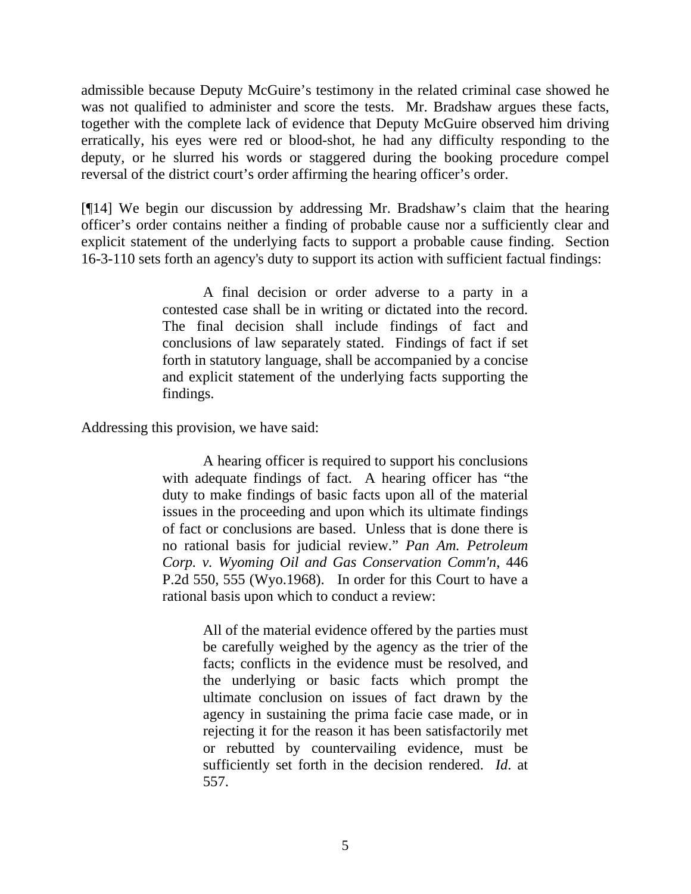admissible because Deputy McGuire's testimony in the related criminal case showed he was not qualified to administer and score the tests. Mr. Bradshaw argues these facts, together with the complete lack of evidence that Deputy McGuire observed him driving erratically, his eyes were red or blood-shot, he had any difficulty responding to the deputy, or he slurred his words or staggered during the booking procedure compel reversal of the district court's order affirming the hearing officer's order.

[¶14] We begin our discussion by addressing Mr. Bradshaw's claim that the hearing officer's order contains neither a finding of probable cause nor a sufficiently clear and explicit statement of the underlying facts to support a probable cause finding. Section 16-3-110 sets forth an agency's duty to support its action with sufficient factual findings:

> A final decision or order adverse to a party in a contested case shall be in writing or dictated into the record. The final decision shall include findings of fact and conclusions of law separately stated. Findings of fact if set forth in statutory language, shall be accompanied by a concise and explicit statement of the underlying facts supporting the findings.

Addressing this provision, we have said:

A hearing officer is required to support his conclusions with adequate findings of fact. A hearing officer has "the duty to make findings of basic facts upon all of the material issues in the proceeding and upon which its ultimate findings of fact or conclusions are based. Unless that is done there is no rational basis for judicial review." *Pan Am. Petroleum Corp. v. Wyoming Oil and Gas Conservation Comm'n*, 446 P.2d 550, 555 (Wyo.1968). In order for this Court to have a rational basis upon which to conduct a review:

> All of the material evidence offered by the parties must be carefully weighed by the agency as the trier of the facts; conflicts in the evidence must be resolved, and the underlying or basic facts which prompt the ultimate conclusion on issues of fact drawn by the agency in sustaining the prima facie case made, or in rejecting it for the reason it has been satisfactorily met or rebutted by countervailing evidence, must be sufficiently set forth in the decision rendered. *Id*. at 557.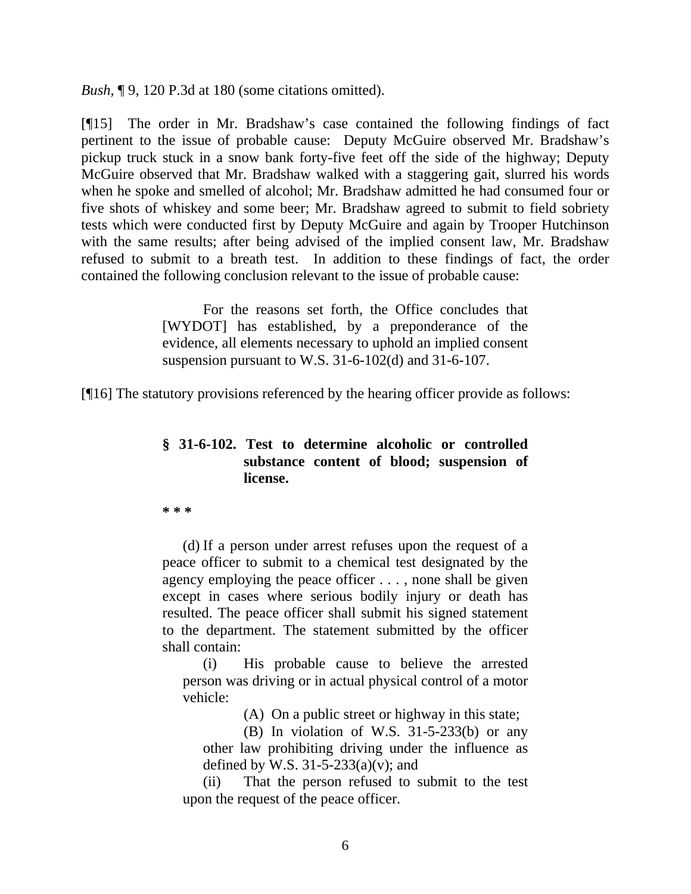*Bush,* ¶ 9, 120 P.3d at 180 (some citations omitted).

[¶15] The order in Mr. Bradshaw's case contained the following findings of fact pertinent to the issue of probable cause: Deputy McGuire observed Mr. Bradshaw's pickup truck stuck in a snow bank forty-five feet off the side of the highway; Deputy McGuire observed that Mr. Bradshaw walked with a staggering gait, slurred his words when he spoke and smelled of alcohol; Mr. Bradshaw admitted he had consumed four or five shots of whiskey and some beer; Mr. Bradshaw agreed to submit to field sobriety tests which were conducted first by Deputy McGuire and again by Trooper Hutchinson with the same results; after being advised of the implied consent law, Mr. Bradshaw refused to submit to a breath test. In addition to these findings of fact, the order contained the following conclusion relevant to the issue of probable cause:

> For the reasons set forth, the Office concludes that [WYDOT] has established, by a preponderance of the evidence, all elements necessary to uphold an implied consent suspension pursuant to W.S. 31-6-102(d) and 31-6-107.

[¶16] The statutory provisions referenced by the hearing officer provide as follows:

## **§ 31-6-102. Test to determine alcoholic or controlled substance content of blood; suspension of license.**

**\* \* \*** 

(d) If a person under arrest refuses upon the request of a peace officer to submit to a chemical test designated by the agency employing the peace officer . . . , none shall be given except in cases where serious bodily injury or death has resulted. The peace officer shall submit his signed statement to the department. The statement submitted by the officer shall contain:

(i) His probable cause to believe the arrested person was driving or in actual physical control of a motor vehicle:

(A) On a public street or highway in this state;

(B) In violation of W.S. 31-5-233(b) or any other law prohibiting driving under the influence as defined by W.S.  $31-5-233(a)(v)$ ; and

(ii) That the person refused to submit to the test upon the request of the peace officer.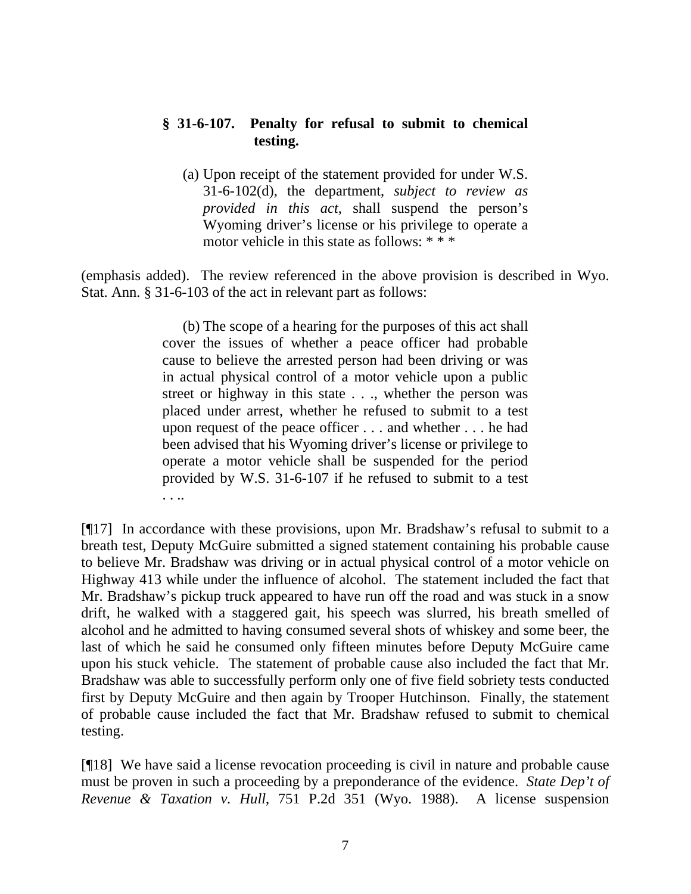## **§ 31-6-107. Penalty for refusal to submit to chemical testing.**

(a) Upon receipt of the statement provided for under W.S. 31-6-102(d), the department, *subject to review as provided in this act*, shall suspend the person's Wyoming driver's license or his privilege to operate a motor vehicle in this state as follows: \* \* \*

(emphasis added). The review referenced in the above provision is described in Wyo. Stat. Ann. § 31-6-103 of the act in relevant part as follows:

> (b) The scope of a hearing for the purposes of this act shall cover the issues of whether a peace officer had probable cause to believe the arrested person had been driving or was in actual physical control of a motor vehicle upon a public street or highway in this state . . ., whether the person was placed under arrest, whether he refused to submit to a test upon request of the peace officer . . . and whether . . . he had been advised that his Wyoming driver's license or privilege to operate a motor vehicle shall be suspended for the period provided by W.S. 31-6-107 if he refused to submit to a test . . ..

[¶17] In accordance with these provisions, upon Mr. Bradshaw's refusal to submit to a breath test, Deputy McGuire submitted a signed statement containing his probable cause to believe Mr. Bradshaw was driving or in actual physical control of a motor vehicle on Highway 413 while under the influence of alcohol. The statement included the fact that Mr. Bradshaw's pickup truck appeared to have run off the road and was stuck in a snow drift, he walked with a staggered gait, his speech was slurred, his breath smelled of alcohol and he admitted to having consumed several shots of whiskey and some beer, the last of which he said he consumed only fifteen minutes before Deputy McGuire came upon his stuck vehicle. The statement of probable cause also included the fact that Mr. Bradshaw was able to successfully perform only one of five field sobriety tests conducted first by Deputy McGuire and then again by Trooper Hutchinson. Finally, the statement of probable cause included the fact that Mr. Bradshaw refused to submit to chemical testing.

[¶18] We have said a license revocation proceeding is civil in nature and probable cause must be proven in such a proceeding by a preponderance of the evidence. *State Dep't of Revenue & Taxation v. Hull*, 751 P.2d 351 (Wyo. 1988). A license suspension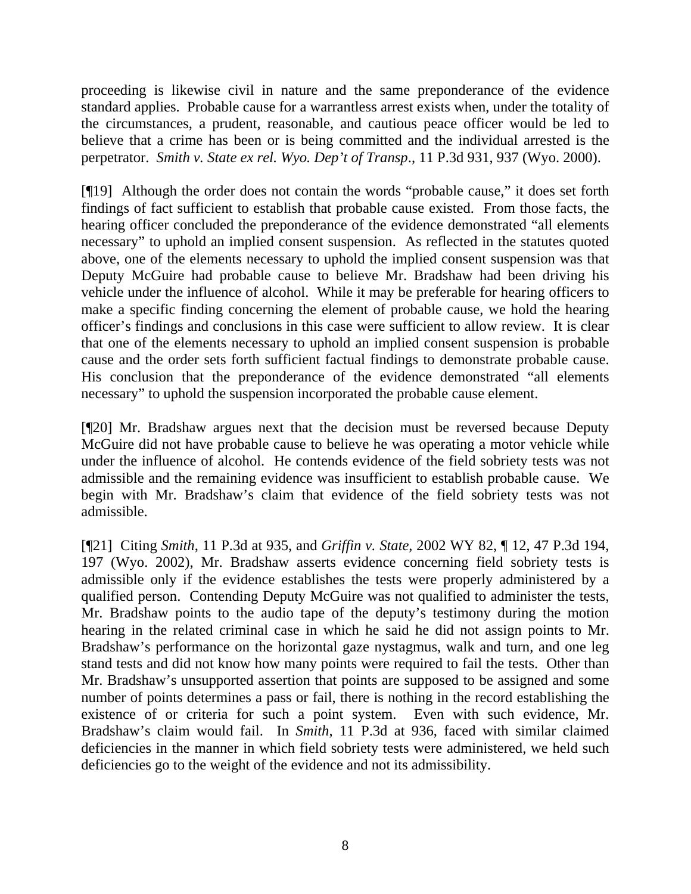proceeding is likewise civil in nature and the same preponderance of the evidence standard applies. Probable cause for a warrantless arrest exists when, under the totality of the circumstances, a prudent, reasonable, and cautious peace officer would be led to believe that a crime has been or is being committed and the individual arrested is the perpetrator. *Smith v. State ex rel. Wyo. Dep't of Transp*., 11 P.3d 931, 937 (Wyo. 2000).

[¶19] Although the order does not contain the words "probable cause," it does set forth findings of fact sufficient to establish that probable cause existed. From those facts, the hearing officer concluded the preponderance of the evidence demonstrated "all elements necessary" to uphold an implied consent suspension. As reflected in the statutes quoted above, one of the elements necessary to uphold the implied consent suspension was that Deputy McGuire had probable cause to believe Mr. Bradshaw had been driving his vehicle under the influence of alcohol. While it may be preferable for hearing officers to make a specific finding concerning the element of probable cause, we hold the hearing officer's findings and conclusions in this case were sufficient to allow review. It is clear that one of the elements necessary to uphold an implied consent suspension is probable cause and the order sets forth sufficient factual findings to demonstrate probable cause. His conclusion that the preponderance of the evidence demonstrated "all elements necessary" to uphold the suspension incorporated the probable cause element.

[¶20] Mr. Bradshaw argues next that the decision must be reversed because Deputy McGuire did not have probable cause to believe he was operating a motor vehicle while under the influence of alcohol. He contends evidence of the field sobriety tests was not admissible and the remaining evidence was insufficient to establish probable cause. We begin with Mr. Bradshaw's claim that evidence of the field sobriety tests was not admissible.

[¶21] Citing *Smith*, 11 P.3d at 935, and *Griffin v. State*, 2002 WY 82, ¶ 12, 47 P.3d 194, 197 (Wyo. 2002), Mr. Bradshaw asserts evidence concerning field sobriety tests is admissible only if the evidence establishes the tests were properly administered by a qualified person. Contending Deputy McGuire was not qualified to administer the tests, Mr. Bradshaw points to the audio tape of the deputy's testimony during the motion hearing in the related criminal case in which he said he did not assign points to Mr. Bradshaw's performance on the horizontal gaze nystagmus, walk and turn, and one leg stand tests and did not know how many points were required to fail the tests. Other than Mr. Bradshaw's unsupported assertion that points are supposed to be assigned and some number of points determines a pass or fail, there is nothing in the record establishing the existence of or criteria for such a point system. Even with such evidence, Mr. Bradshaw's claim would fail. In *Smith*, 11 P.3d at 936, faced with similar claimed deficiencies in the manner in which field sobriety tests were administered, we held such deficiencies go to the weight of the evidence and not its admissibility.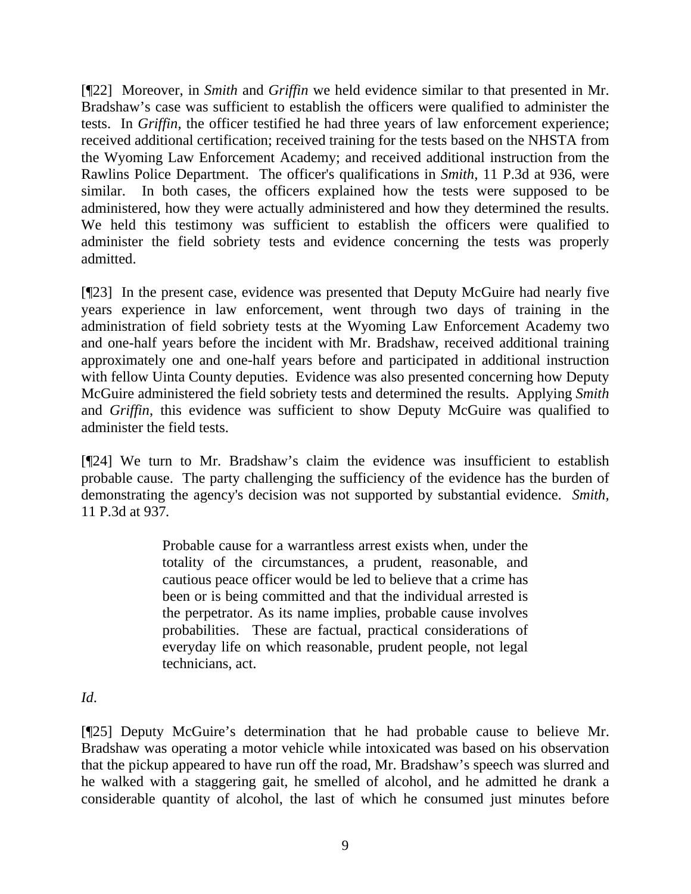[¶22] Moreover, in *Smith* and *Griffin* we held evidence similar to that presented in Mr. Bradshaw's case was sufficient to establish the officers were qualified to administer the tests. In *Griffin*, the officer testified he had three years of law enforcement experience; received additional certification; received training for the tests based on the NHSTA from the Wyoming Law Enforcement Academy; and received additional instruction from the Rawlins Police Department. The officer's qualifications in *Smith*, 11 P.3d at 936, were similar. In both cases, the officers explained how the tests were supposed to be administered, how they were actually administered and how they determined the results. We held this testimony was sufficient to establish the officers were qualified to administer the field sobriety tests and evidence concerning the tests was properly admitted.

[¶23] In the present case, evidence was presented that Deputy McGuire had nearly five years experience in law enforcement, went through two days of training in the administration of field sobriety tests at the Wyoming Law Enforcement Academy two and one-half years before the incident with Mr. Bradshaw, received additional training approximately one and one-half years before and participated in additional instruction with fellow Uinta County deputies. Evidence was also presented concerning how Deputy McGuire administered the field sobriety tests and determined the results. Applying *Smith* and *Griffin*, this evidence was sufficient to show Deputy McGuire was qualified to administer the field tests.

[¶24] We turn to Mr. Bradshaw's claim the evidence was insufficient to establish probable cause. The party challenging the sufficiency of the evidence has the burden of demonstrating the agency's decision was not supported by substantial evidence. *Smith,*  11 P.3d at 937*.*

> Probable cause for a warrantless arrest exists when, under the totality of the circumstances, a prudent, reasonable, and cautious peace officer would be led to believe that a crime has been or is being committed and that the individual arrested is the perpetrator. As its name implies, probable cause involves probabilities. These are factual, practical considerations of everyday life on which reasonable, prudent people, not legal technicians, act.

# *Id*.

[¶25] Deputy McGuire's determination that he had probable cause to believe Mr. Bradshaw was operating a motor vehicle while intoxicated was based on his observation that the pickup appeared to have run off the road, Mr. Bradshaw's speech was slurred and he walked with a staggering gait, he smelled of alcohol, and he admitted he drank a considerable quantity of alcohol, the last of which he consumed just minutes before